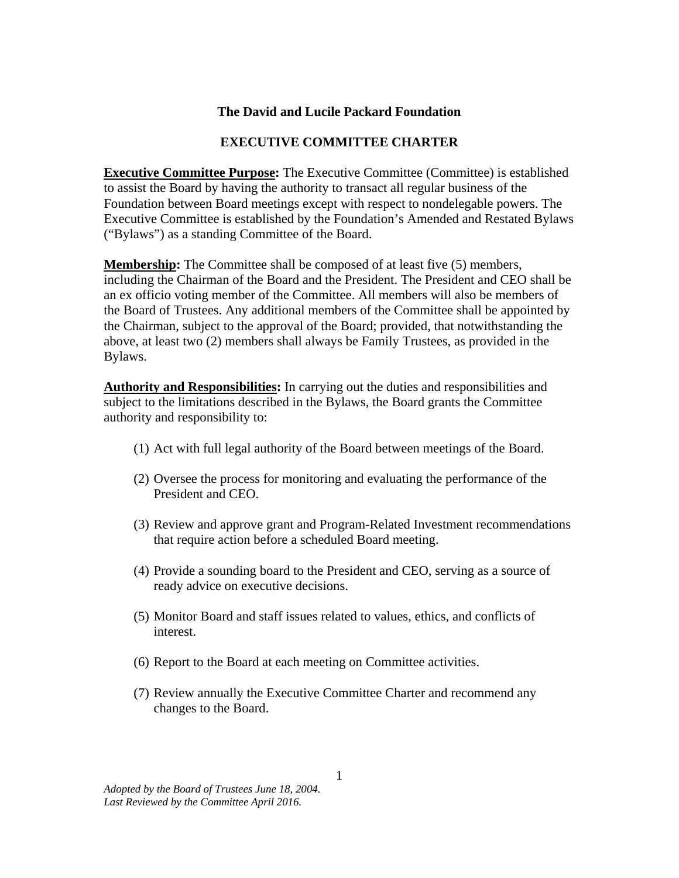## **The David and Lucile Packard Foundation**

## **EXECUTIVE COMMITTEE CHARTER**

**Executive Committee Purpose:** The Executive Committee (Committee) is established to assist the Board by having the authority to transact all regular business of the Foundation between Board meetings except with respect to nondelegable powers. The Executive Committee is established by the Foundation's Amended and Restated Bylaws ("Bylaws") as a standing Committee of the Board.

**Membership:** The Committee shall be composed of at least five (5) members, including the Chairman of the Board and the President. The President and CEO shall be an ex officio voting member of the Committee. All members will also be members of the Board of Trustees. Any additional members of the Committee shall be appointed by the Chairman, subject to the approval of the Board; provided, that notwithstanding the above, at least two (2) members shall always be Family Trustees, as provided in the Bylaws.

**Authority and Responsibilities:** In carrying out the duties and responsibilities and subject to the limitations described in the Bylaws, the Board grants the Committee authority and responsibility to:

- (1) Act with full legal authority of the Board between meetings of the Board.
- (2) Oversee the process for monitoring and evaluating the performance of the President and CEO.
- (3) Review and approve grant and Program-Related Investment recommendations that require action before a scheduled Board meeting.
- (4) Provide a sounding board to the President and CEO, serving as a source of ready advice on executive decisions.
- (5) Monitor Board and staff issues related to values, ethics, and conflicts of interest.
- (6) Report to the Board at each meeting on Committee activities.
- (7) Review annually the Executive Committee Charter and recommend any changes to the Board.